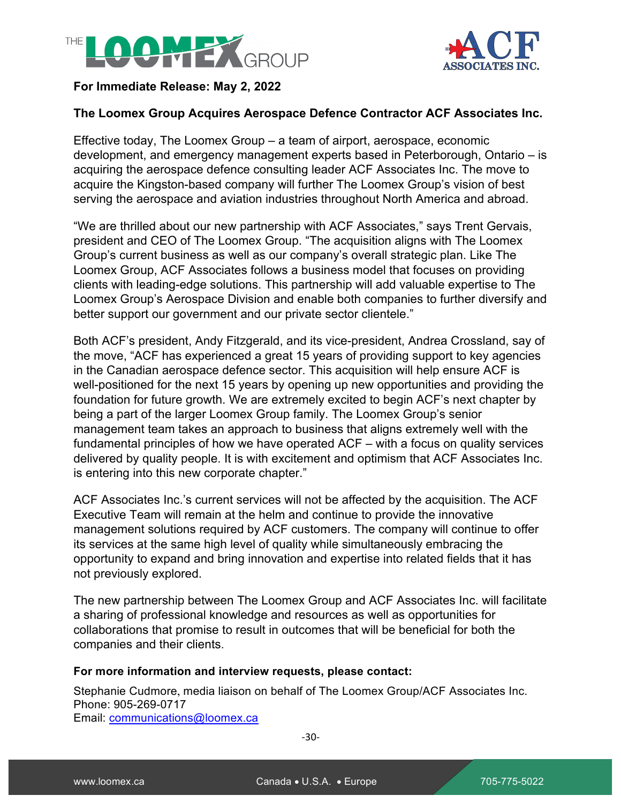



# **For Immediate Release: May 2, 2022**

## **The Loomex Group Acquires Aerospace Defence Contractor ACF Associates Inc.**

Effective today, The Loomex Group – a team of airport, aerospace, economic development, and emergency management experts based in Peterborough, Ontario – is acquiring the aerospace defence consulting leader ACF Associates Inc. The move to acquire the Kingston-based company will further The Loomex Group's vision of best serving the aerospace and aviation industries throughout North America and abroad.

"We are thrilled about our new partnership with ACF Associates," says Trent Gervais, president and CEO of The Loomex Group. "The acquisition aligns with The Loomex Group's current business as well as our company's overall strategic plan. Like The Loomex Group, ACF Associates follows a business model that focuses on providing clients with leading-edge solutions. This partnership will add valuable expertise to The Loomex Group's Aerospace Division and enable both companies to further diversify and better support our government and our private sector clientele."

Both ACF's president, Andy Fitzgerald, and its vice-president, Andrea Crossland, say of the move, "ACF has experienced a great 15 years of providing support to key agencies in the Canadian aerospace defence sector. This acquisition will help ensure ACF is well-positioned for the next 15 years by opening up new opportunities and providing the foundation for future growth. We are extremely excited to begin ACF's next chapter by being a part of the larger Loomex Group family. The Loomex Group's senior management team takes an approach to business that aligns extremely well with the fundamental principles of how we have operated ACF – with a focus on quality services delivered by quality people. It is with excitement and optimism that ACF Associates Inc. is entering into this new corporate chapter."

ACF Associates Inc.'s current services will not be affected by the acquisition. The ACF Executive Team will remain at the helm and continue to provide the innovative management solutions required by ACF customers. The company will continue to offer its services at the same high level of quality while simultaneously embracing the opportunity to expand and bring innovation and expertise into related fields that it has not previously explored.

The new partnership between The Loomex Group and ACF Associates Inc. will facilitate a sharing of professional knowledge and resources as well as opportunities for collaborations that promise to result in outcomes that will be beneficial for both the companies and their clients.

### **For more information and interview requests, please contact:**

Stephanie Cudmore, media liaison on behalf of The Loomex Group/ACF Associates Inc. Phone: 905-269-0717 Email: communications@loomex.ca

-30-

**LOOMEX**